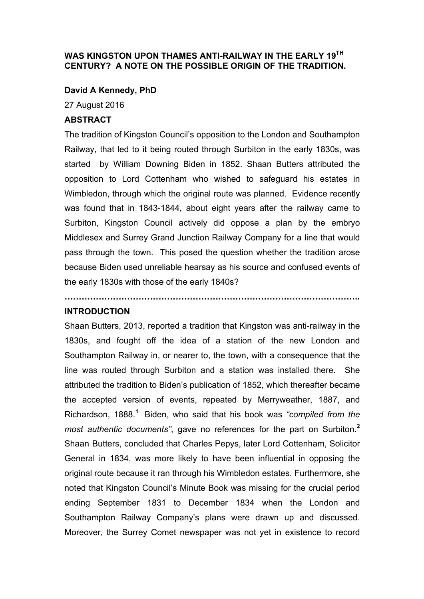# **WAS KINGSTON UPON THAMES ANTI-RAILWAY IN THE EARLY 19TH CENTURY? A NOTE ON THE POSSIBLE ORIGIN OF THE TRADITION.**

## **David A Kennedy, PhD**

27 August 2016

### **ABSTRACT**

The tradition of Kingston Council's opposition to the London and Southampton Railway, that led to it being routed through Surbiton in the early 1830s, was started by William Downing Biden in 1852. Shaan Butters attributed the opposition to Lord Cottenham who wished to safeguard his estates in Wimbledon, through which the original route was planned. Evidence recently was found that in 1843-1844, about eight years after the railway came to Surbiton, Kingston Council actively did oppose a plan by the embryo Middlesex and Surrey Grand Junction Railway Company for a line that would pass through the town. This posed the question whether the tradition arose because Biden used unreliable hearsay as his source and confused events of the early 1830s with those of the early 1840s?

**…………………………………………………………………………………………..**

## **INTRODUCTION**

Shaan Butters, 2013, reported a tradition that Kingston was anti-railway in the 1830s, and fought off the idea of a station of the new London and Southampton Railway in, or nearer to, the town, with a consequence that the line was routed through Surbiton and a station was installed there. She attributed the tradition to Biden's publication of 1852, which thereafter became the accepted version of events, repeated by Merryweather, 1887, and Richardson, 1888.**<sup>1</sup>** Biden, who said that his book was *"compiled from the most authentic documents"*, gave no references for the part on Surbiton.**<sup>2</sup>** Shaan Butters, concluded that Charles Pepys, later Lord Cottenham, Solicitor General in 1834, was more likely to have been influential in opposing the original route because it ran through his Wimbledon estates. Furthermore, she noted that Kingston Council's Minute Book was missing for the crucial period ending September 1831 to December 1834 when the London and Southampton Railway Company's plans were drawn up and discussed. Moreover, the Surrey Comet newspaper was not yet in existence to record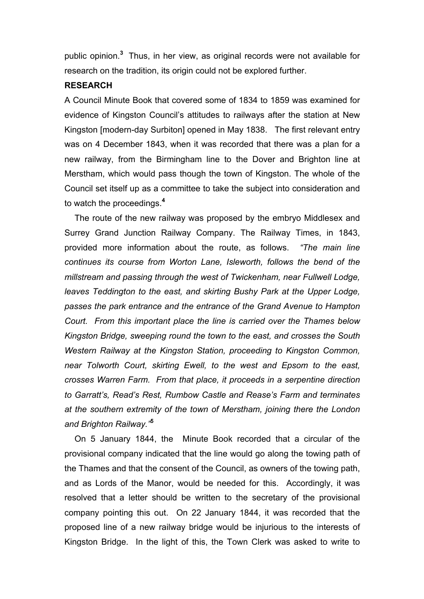public opinion.**<sup>3</sup>** Thus, in her view, as original records were not available for research on the tradition, its origin could not be explored further.

#### **RESEARCH**

A Council Minute Book that covered some of 1834 to 1859 was examined for evidence of Kingston Council's attitudes to railways after the station at New Kingston [modern-day Surbiton] opened in May 1838. The first relevant entry was on 4 December 1843, when it was recorded that there was a plan for a new railway, from the Birmingham line to the Dover and Brighton line at Merstham, which would pass though the town of Kingston. The whole of the Council set itself up as a committee to take the subject into consideration and to watch the proceedings.**<sup>4</sup>**

The route of the new railway was proposed by the embryo Middlesex and Surrey Grand Junction Railway Company. The Railway Times, in 1843, provided more information about the route, as follows. *"The main line continues its course from Worton Lane, Isleworth, follows the bend of the millstream and passing through the west of Twickenham, near Fullwell Lodge,*  leaves Teddington to the east, and skirting Bushy Park at the Upper Lodge, *passes the park entrance and the entrance of the Grand Avenue to Hampton Court. From this important place the line is carried over the Thames below Kingston Bridge, sweeping round the town to the east, and crosses the South Western Railway at the Kingston Station, proceeding to Kingston Common, near Tolworth Court, skirting Ewell, to the west and Epsom to the east, crosses Warren Farm. From that place, it proceeds in a serpentine direction to Garratt's, Read's Rest, Rumbow Castle and Rease's Farm and terminates at the southern extremity of the town of Merstham, joining there the London and Brighton Railway."***<sup>5</sup>**

On 5 January 1844, the Minute Book recorded that a circular of the provisional company indicated that the line would go along the towing path of the Thames and that the consent of the Council, as owners of the towing path, and as Lords of the Manor, would be needed for this. Accordingly, it was resolved that a letter should be written to the secretary of the provisional company pointing this out. On 22 January 1844, it was recorded that the proposed line of a new railway bridge would be injurious to the interests of Kingston Bridge. In the light of this, the Town Clerk was asked to write to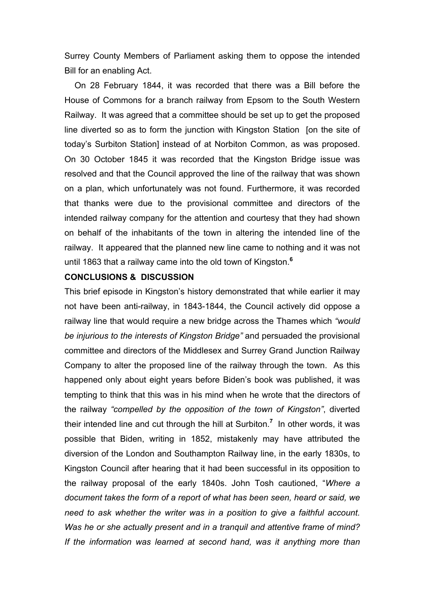Surrey County Members of Parliament asking them to oppose the intended Bill for an enabling Act.

On 28 February 1844, it was recorded that there was a Bill before the House of Commons for a branch railway from Epsom to the South Western Railway. It was agreed that a committee should be set up to get the proposed line diverted so as to form the junction with Kingston Station [on the site of today's Surbiton Station] instead of at Norbiton Common, as was proposed. On 30 October 1845 it was recorded that the Kingston Bridge issue was resolved and that the Council approved the line of the railway that was shown on a plan, which unfortunately was not found. Furthermore, it was recorded that thanks were due to the provisional committee and directors of the intended railway company for the attention and courtesy that they had shown on behalf of the inhabitants of the town in altering the intended line of the railway. It appeared that the planned new line came to nothing and it was not until 1863 that a railway came into the old town of Kingston.**<sup>6</sup>**

### **CONCLUSIONS & DISCUSSION**

This brief episode in Kingston's history demonstrated that while earlier it may not have been anti-railway, in 1843-1844, the Council actively did oppose a railway line that would require a new bridge across the Thames which *"would be injurious to the interests of Kingston Bridge"* and persuaded the provisional committee and directors of the Middlesex and Surrey Grand Junction Railway Company to alter the proposed line of the railway through the town. As this happened only about eight years before Biden's book was published, it was tempting to think that this was in his mind when he wrote that the directors of the railway *"compelled by the opposition of the town of Kingston"*, diverted their intended line and cut through the hill at Surbiton.**<sup>7</sup>** In other words, it was possible that Biden, writing in 1852, mistakenly may have attributed the diversion of the London and Southampton Railway line, in the early 1830s, to Kingston Council after hearing that it had been successful in its opposition to the railway proposal of the early 1840s. John Tosh cautioned, "*Where a document takes the form of a report of what has been seen, heard or said, we need to ask whether the writer was in a position to give a faithful account. Was he or she actually present and in a tranquil and attentive frame of mind? If the information was learned at second hand, was it anything more than*